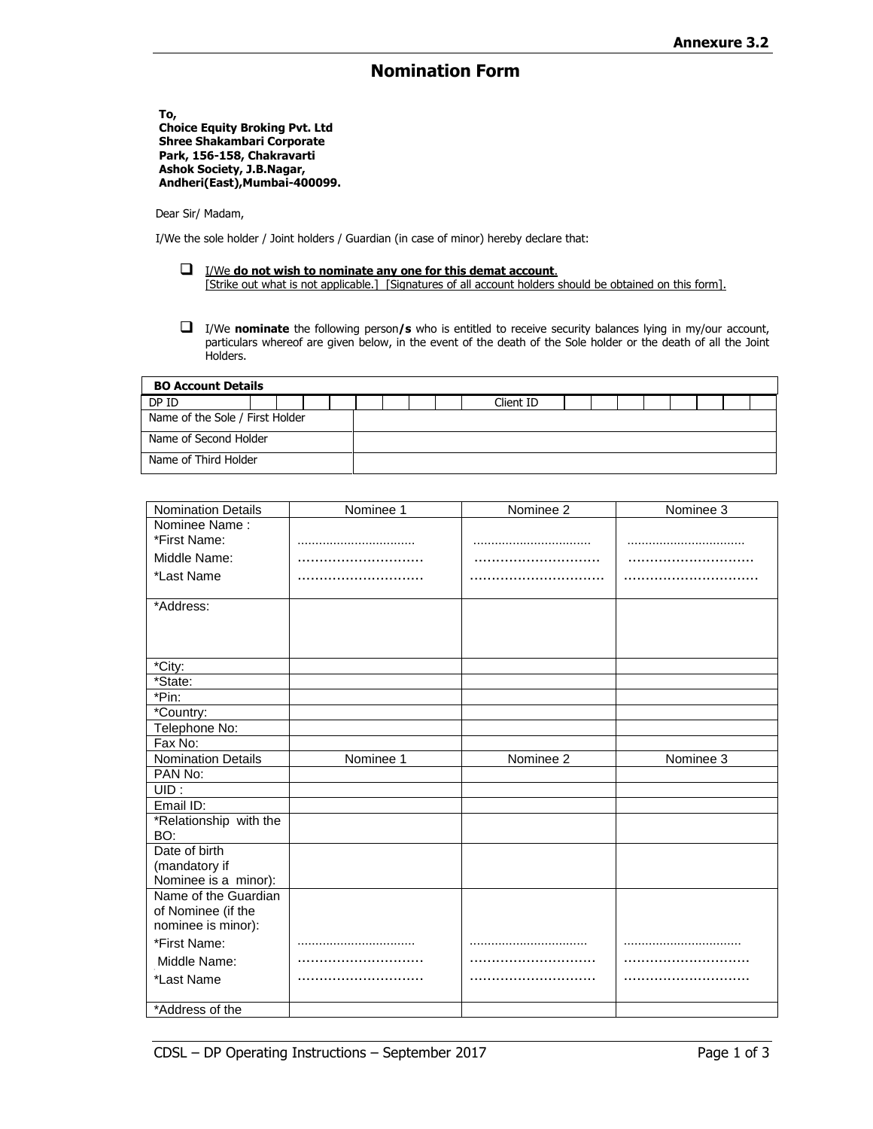## **Nomination Form**

**To, Choice Equity Broking Pvt. Ltd Shree Shakambari Corporate Park, 156-158, Chakravarti Ashok Society, J.B.Nagar, Andheri(East),Mumbai-400099.**

Dear Sir/ Madam,

I/We the sole holder / Joint holders / Guardian (in case of minor) hereby declare that:

- I/We **do not wish to nominate any one for this demat account**. [Strike out what is not applicable.] [Signatures of all account holders should be obtained on this form].
- I/We **nominate** the following person**/s** who is entitled to receive security balances lying in my/our account, particulars whereof are given below, in the event of the death of the Sole holder or the death of all the Joint Holders.

| <b>BO Account Details</b>       |  |  |  |  |  |  |  |  |           |  |  |  |  |  |  |  |
|---------------------------------|--|--|--|--|--|--|--|--|-----------|--|--|--|--|--|--|--|
| DP ID                           |  |  |  |  |  |  |  |  | Client ID |  |  |  |  |  |  |  |
| Name of the Sole / First Holder |  |  |  |  |  |  |  |  |           |  |  |  |  |  |  |  |
| Name of Second Holder           |  |  |  |  |  |  |  |  |           |  |  |  |  |  |  |  |
| Name of Third Holder            |  |  |  |  |  |  |  |  |           |  |  |  |  |  |  |  |

| <b>Nomination Details</b> | Nominee 1 | Nominee <sub>2</sub> | Nominee 3 |
|---------------------------|-----------|----------------------|-----------|
| Nominee Name:             |           |                      |           |
| *First Name:              |           |                      |           |
| Middle Name:              |           |                      |           |
| *Last Name                |           |                      |           |
| *Address:                 |           |                      |           |
|                           |           |                      |           |
|                           |           |                      |           |
| *City:                    |           |                      |           |
| *State:                   |           |                      |           |
| *Pin:                     |           |                      |           |
| *Country:                 |           |                      |           |
| Telephone No:             |           |                      |           |
| Fax No:                   |           |                      |           |
| <b>Nomination Details</b> | Nominee 1 | Nominee 2            | Nominee 3 |
| PAN No:                   |           |                      |           |
| UID:                      |           |                      |           |
| Email ID:                 |           |                      |           |
| *Relationship with the    |           |                      |           |
| BO:                       |           |                      |           |
| Date of birth             |           |                      |           |
| (mandatory if             |           |                      |           |
| Nominee is a minor):      |           |                      |           |
| Name of the Guardian      |           |                      |           |
| of Nominee (if the        |           |                      |           |
| nominee is minor):        |           |                      |           |
| *First Name:              |           |                      |           |
| Middle Name:              |           |                      |           |
| *Last Name                |           |                      |           |
|                           |           |                      |           |
| *Address of the           |           |                      |           |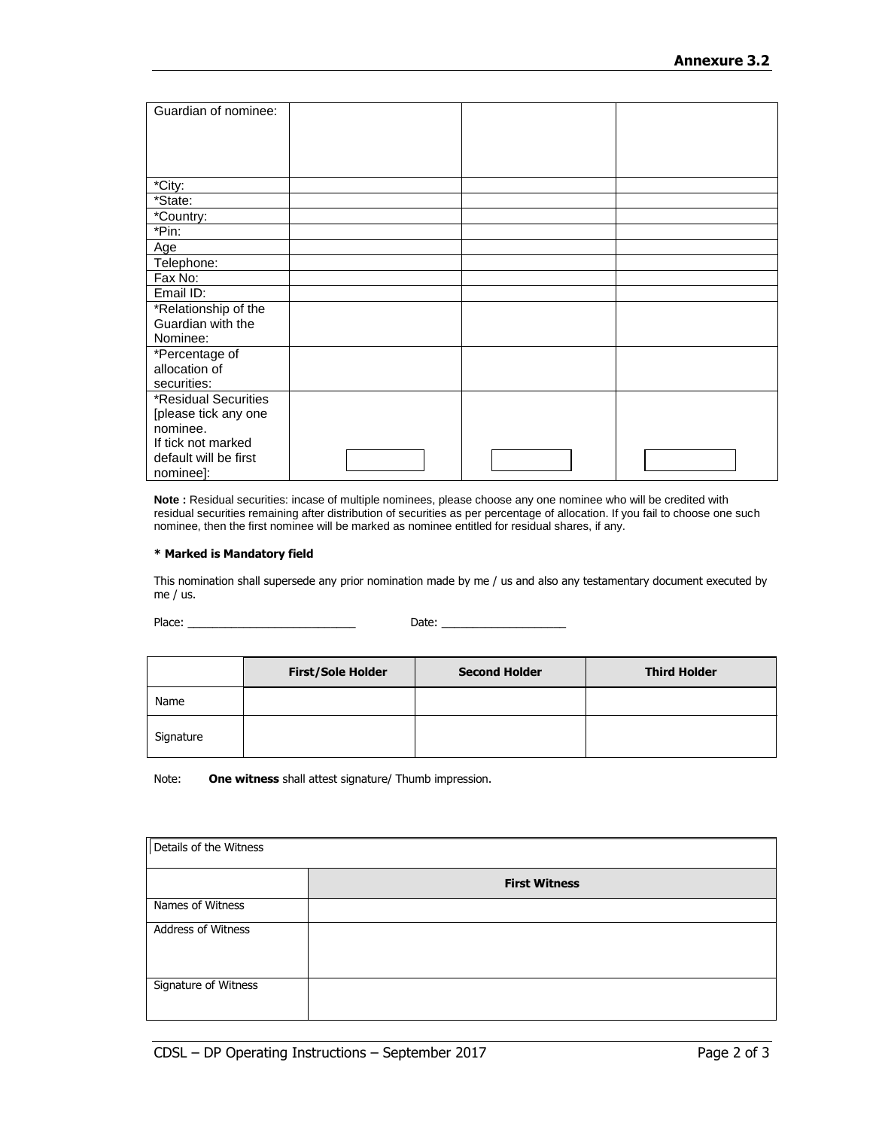| Guardian of nominee:  |  |  |
|-----------------------|--|--|
|                       |  |  |
|                       |  |  |
|                       |  |  |
|                       |  |  |
| *City:                |  |  |
| *State:               |  |  |
| *Country:             |  |  |
| *Pin:                 |  |  |
| Age                   |  |  |
| Telephone:            |  |  |
| Fax No:               |  |  |
| Email ID:             |  |  |
| *Relationship of the  |  |  |
| Guardian with the     |  |  |
| Nominee:              |  |  |
| *Percentage of        |  |  |
| allocation of         |  |  |
| securities:           |  |  |
| *Residual Securities  |  |  |
| [please tick any one  |  |  |
| nominee.              |  |  |
| If tick not marked    |  |  |
| default will be first |  |  |
| nominee]:             |  |  |

**Note :** Residual securities: incase of multiple nominees, please choose any one nominee who will be credited with residual securities remaining after distribution of securities as per percentage of allocation. If you fail to choose one such nominee, then the first nominee will be marked as nominee entitled for residual shares, if any.

## **\* Marked is Mandatory field**

This nomination shall supersede any prior nomination made by me / us and also any testamentary document executed by me / us.

Place: \_\_\_\_\_\_\_\_\_\_\_\_\_\_\_\_\_\_\_\_\_\_\_\_\_\_\_ Date: \_\_\_\_\_\_\_\_\_\_\_\_\_\_\_\_\_\_\_\_

|           | <b>First/Sole Holder</b> | <b>Second Holder</b> | <b>Third Holder</b> |
|-----------|--------------------------|----------------------|---------------------|
| Name      |                          |                      |                     |
| Signature |                          |                      |                     |

Note: **One witness** shall attest signature/ Thumb impression.

| Details of the Witness |                      |  |  |  |  |  |  |  |  |  |
|------------------------|----------------------|--|--|--|--|--|--|--|--|--|
|                        | <b>First Witness</b> |  |  |  |  |  |  |  |  |  |
| Names of Witness       |                      |  |  |  |  |  |  |  |  |  |
| Address of Witness     |                      |  |  |  |  |  |  |  |  |  |
| Signature of Witness   |                      |  |  |  |  |  |  |  |  |  |